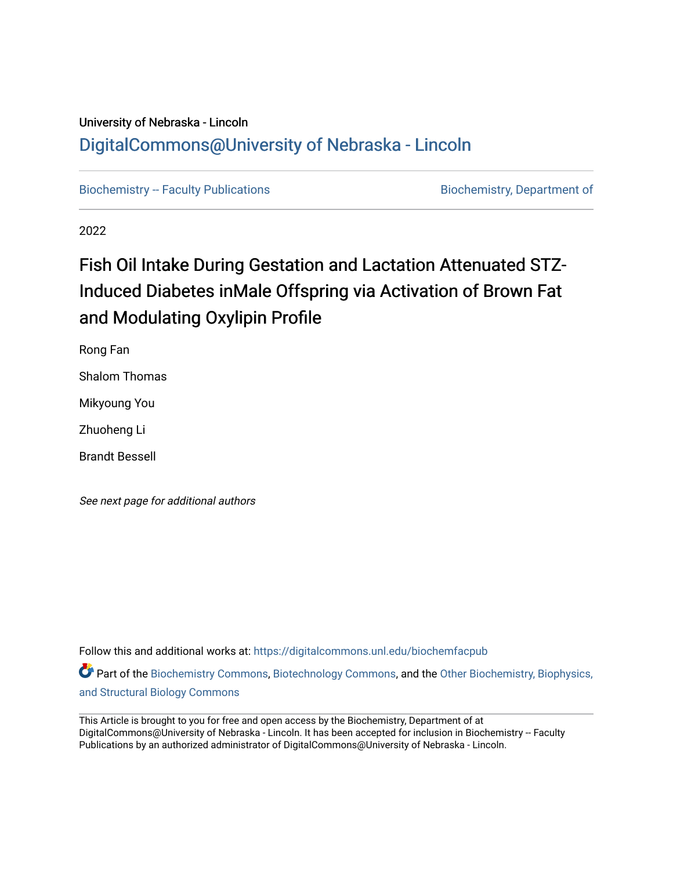## University of Nebraska - Lincoln [DigitalCommons@University of Nebraska - Lincoln](https://digitalcommons.unl.edu/)

[Biochemistry -- Faculty Publications](https://digitalcommons.unl.edu/biochemfacpub) **Biochemistry, Department of** 

2022

## Fish Oil Intake During Gestation and Lactation Attenuated STZ-Induced Diabetes inMale Offspring via Activation of Brown Fat and Modulating Oxylipin Profile

Rong Fan Shalom Thomas Mikyoung You Zhuoheng Li

Brandt Bessell

See next page for additional authors

Follow this and additional works at: [https://digitalcommons.unl.edu/biochemfacpub](https://digitalcommons.unl.edu/biochemfacpub?utm_source=digitalcommons.unl.edu%2Fbiochemfacpub%2F544&utm_medium=PDF&utm_campaign=PDFCoverPages)  Part of the [Biochemistry Commons](https://network.bepress.com/hgg/discipline/2?utm_source=digitalcommons.unl.edu%2Fbiochemfacpub%2F544&utm_medium=PDF&utm_campaign=PDFCoverPages), [Biotechnology Commons](https://network.bepress.com/hgg/discipline/111?utm_source=digitalcommons.unl.edu%2Fbiochemfacpub%2F544&utm_medium=PDF&utm_campaign=PDFCoverPages), and the [Other Biochemistry, Biophysics,](https://network.bepress.com/hgg/discipline/7?utm_source=digitalcommons.unl.edu%2Fbiochemfacpub%2F544&utm_medium=PDF&utm_campaign=PDFCoverPages) 

[and Structural Biology Commons](https://network.bepress.com/hgg/discipline/7?utm_source=digitalcommons.unl.edu%2Fbiochemfacpub%2F544&utm_medium=PDF&utm_campaign=PDFCoverPages)

This Article is brought to you for free and open access by the Biochemistry, Department of at DigitalCommons@University of Nebraska - Lincoln. It has been accepted for inclusion in Biochemistry -- Faculty Publications by an authorized administrator of DigitalCommons@University of Nebraska - Lincoln.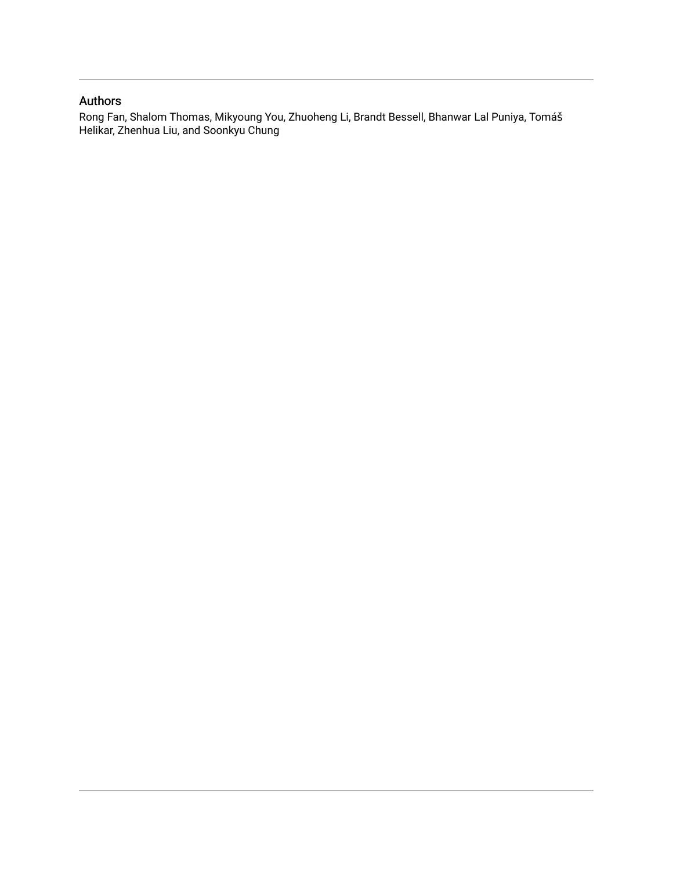## Authors

Rong Fan, Shalom Thomas, Mikyoung You, Zhuoheng Li, Brandt Bessell, Bhanwar Lal Puniya, Tomáš Helikar, Zhenhua Liu, and Soonkyu Chung